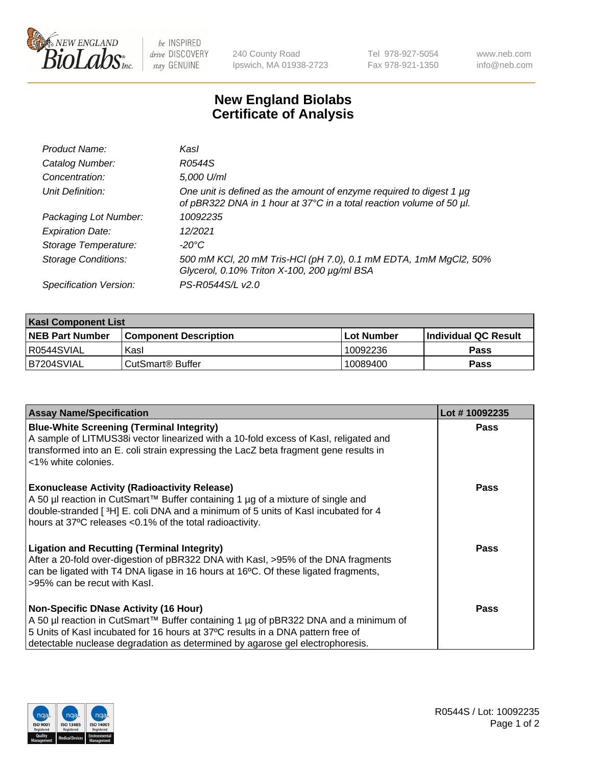

be INSPIRED drive DISCOVERY stay GENUINE

240 County Road Ipswich, MA 01938-2723 Tel 978-927-5054 Fax 978-921-1350 www.neb.com info@neb.com

## **New England Biolabs Certificate of Analysis**

| Product Name:              | Kasl                                                                                                                                             |
|----------------------------|--------------------------------------------------------------------------------------------------------------------------------------------------|
| Catalog Number:            | R0544S                                                                                                                                           |
| Concentration:             | 5,000 U/ml                                                                                                                                       |
| Unit Definition:           | One unit is defined as the amount of enzyme required to digest 1 $\mu$ g<br>of pBR322 DNA in 1 hour at 37°C in a total reaction volume of 50 µl. |
| Packaging Lot Number:      | 10092235                                                                                                                                         |
| <b>Expiration Date:</b>    | 12/2021                                                                                                                                          |
| Storage Temperature:       | -20°C                                                                                                                                            |
| <b>Storage Conditions:</b> | 500 mM KCl, 20 mM Tris-HCl (pH 7.0), 0.1 mM EDTA, 1mM MgCl2, 50%<br>Glycerol, 0.10% Triton X-100, 200 µg/ml BSA                                  |
| Specification Version:     | PS-R0544S/L v2.0                                                                                                                                 |

| <b>Kasl Component List</b> |                              |             |                             |  |  |
|----------------------------|------------------------------|-------------|-----------------------------|--|--|
| <b>NEB Part Number</b>     | <b>Component Description</b> | ⊺Lot Number | <b>Individual QC Result</b> |  |  |
| R0544SVIAL                 | Kasl                         | 10092236    | Pass                        |  |  |
| B7204SVIAL                 | i CutSmart® Buffer_          | 10089400    | Pass                        |  |  |

| <b>Assay Name/Specification</b>                                                                                                                                                                                                                                                                         | Lot #10092235 |
|---------------------------------------------------------------------------------------------------------------------------------------------------------------------------------------------------------------------------------------------------------------------------------------------------------|---------------|
| <b>Blue-White Screening (Terminal Integrity)</b><br>A sample of LITMUS38i vector linearized with a 10-fold excess of Kasl, religated and<br>transformed into an E. coli strain expressing the LacZ beta fragment gene results in<br><1% white colonies.                                                 | <b>Pass</b>   |
| <b>Exonuclease Activity (Radioactivity Release)</b><br>A 50 µl reaction in CutSmart™ Buffer containing 1 µg of a mixture of single and<br>double-stranded [3H] E. coli DNA and a minimum of 5 units of Kasl incubated for 4<br>hours at 37°C releases <0.1% of the total radioactivity.                 | <b>Pass</b>   |
| <b>Ligation and Recutting (Terminal Integrity)</b><br>After a 20-fold over-digestion of pBR322 DNA with Kasl, >95% of the DNA fragments<br>can be ligated with T4 DNA ligase in 16 hours at 16°C. Of these ligated fragments,<br>>95% can be recut with Kasl.                                           | <b>Pass</b>   |
| <b>Non-Specific DNase Activity (16 Hour)</b><br>A 50 µl reaction in CutSmart™ Buffer containing 1 µg of pBR322 DNA and a minimum of<br>5 Units of Kasl incubated for 16 hours at 37°C results in a DNA pattern free of<br>detectable nuclease degradation as determined by agarose gel electrophoresis. | Pass          |